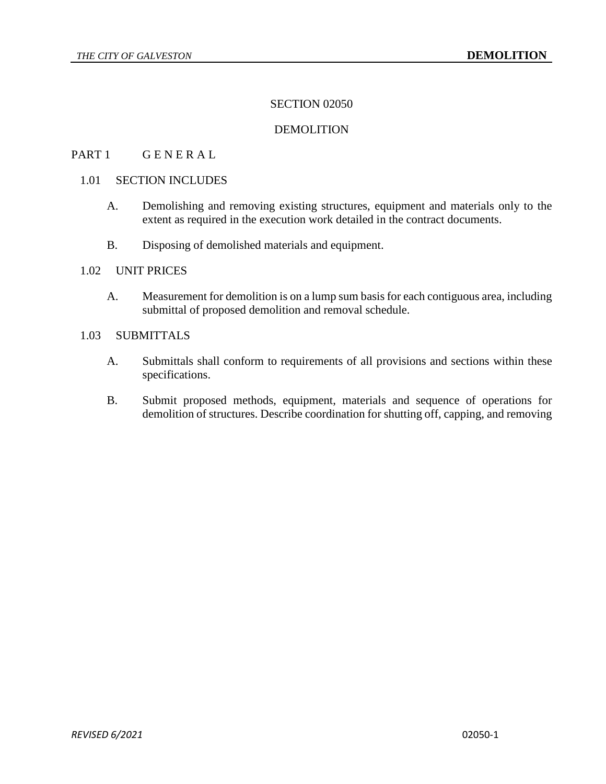# SECTION 02050

### DEMOLITION

# PART 1 GENERAL

### 1.01 SECTION INCLUDES

- A. Demolishing and removing existing structures, equipment and materials only to the extent as required in the execution work detailed in the contract documents.
- B. Disposing of demolished materials and equipment.

#### 1.02 UNIT PRICES

A. Measurement for demolition is on a lump sum basis for each contiguous area, including submittal of proposed demolition and removal schedule.

## 1.03 SUBMITTALS

- A. Submittals shall conform to requirements of all provisions and sections within these specifications.
- B. Submit proposed methods, equipment, materials and sequence of operations for demolition of structures. Describe coordination for shutting off, capping, and removing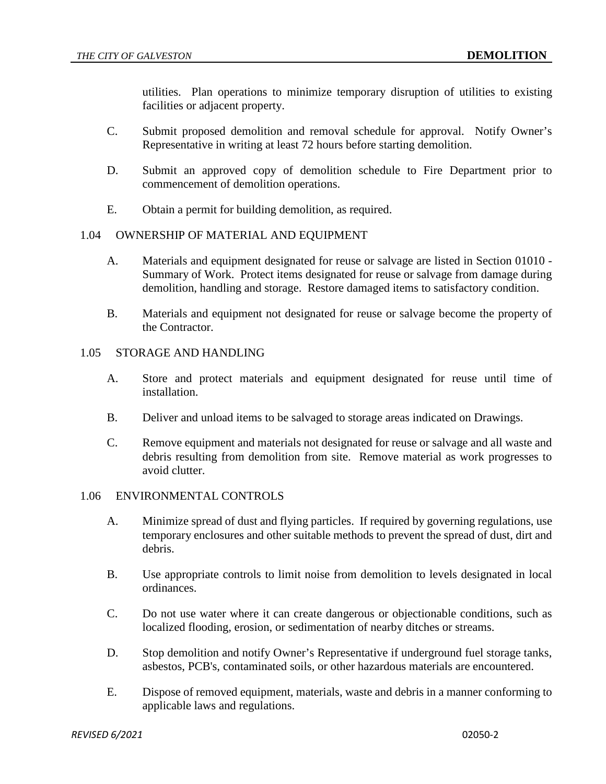utilities. Plan operations to minimize temporary disruption of utilities to existing facilities or adjacent property.

- C. Submit proposed demolition and removal schedule for approval. Notify Owner's Representative in writing at least 72 hours before starting demolition.
- D. Submit an approved copy of demolition schedule to Fire Department prior to commencement of demolition operations.
- E. Obtain a permit for building demolition, as required.

## 1.04 OWNERSHIP OF MATERIAL AND EQUIPMENT

- A. Materials and equipment designated for reuse or salvage are listed in Section 01010 Summary of Work. Protect items designated for reuse or salvage from damage during demolition, handling and storage. Restore damaged items to satisfactory condition.
- B. Materials and equipment not designated for reuse or salvage become the property of the Contractor.

### 1.05 STORAGE AND HANDLING

- A. Store and protect materials and equipment designated for reuse until time of installation.
- B. Deliver and unload items to be salvaged to storage areas indicated on Drawings.
- C. Remove equipment and materials not designated for reuse or salvage and all waste and debris resulting from demolition from site. Remove material as work progresses to avoid clutter.

## 1.06 ENVIRONMENTAL CONTROLS

- A. Minimize spread of dust and flying particles. If required by governing regulations, use temporary enclosures and other suitable methods to prevent the spread of dust, dirt and debris.
- B. Use appropriate controls to limit noise from demolition to levels designated in local ordinances.
- C. Do not use water where it can create dangerous or objectionable conditions, such as localized flooding, erosion, or sedimentation of nearby ditches or streams.
- D. Stop demolition and notify Owner's Representative if underground fuel storage tanks, asbestos, PCB's, contaminated soils, or other hazardous materials are encountered.
- E. Dispose of removed equipment, materials, waste and debris in a manner conforming to applicable laws and regulations.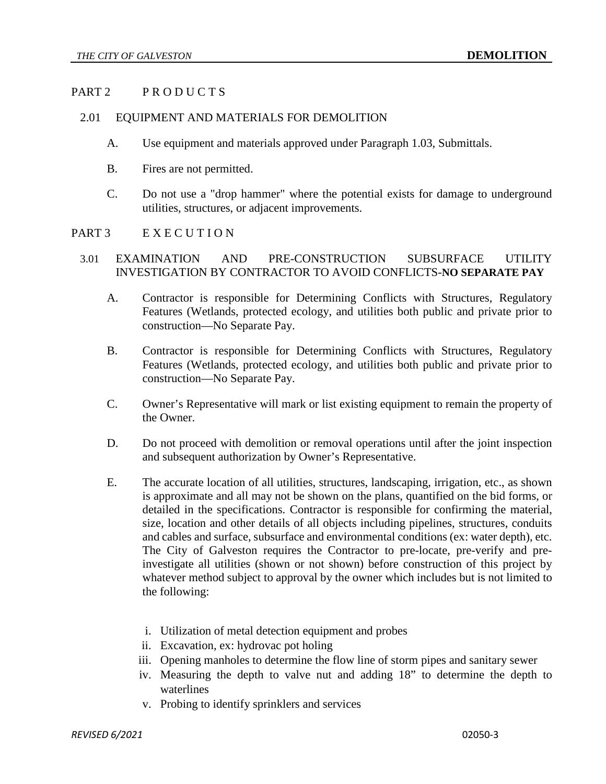### PART 2 PRODUCTS

#### 2.01 EQUIPMENT AND MATERIALS FOR DEMOLITION

- A. Use equipment and materials approved under Paragraph 1.03, Submittals.
- B. Fires are not permitted.
- C. Do not use a "drop hammer" where the potential exists for damage to underground utilities, structures, or adjacent improvements.

#### PART 3 EXECUTION

#### 3.01 EXAMINATION AND PRE-CONSTRUCTION SUBSURFACE UTILITY INVESTIGATION BY CONTRACTOR TO AVOID CONFLICTS-**NO SEPARATE PAY**

- A. Contractor is responsible for Determining Conflicts with Structures, Regulatory Features (Wetlands, protected ecology, and utilities both public and private prior to construction—No Separate Pay.
- B. Contractor is responsible for Determining Conflicts with Structures, Regulatory Features (Wetlands, protected ecology, and utilities both public and private prior to construction—No Separate Pay.
- C. Owner's Representative will mark or list existing equipment to remain the property of the Owner.
- D. Do not proceed with demolition or removal operations until after the joint inspection and subsequent authorization by Owner's Representative.
- E. The accurate location of all utilities, structures, landscaping, irrigation, etc., as shown is approximate and all may not be shown on the plans, quantified on the bid forms, or detailed in the specifications. Contractor is responsible for confirming the material, size, location and other details of all objects including pipelines, structures, conduits and cables and surface, subsurface and environmental conditions (ex: water depth), etc. The City of Galveston requires the Contractor to pre-locate, pre-verify and preinvestigate all utilities (shown or not shown) before construction of this project by whatever method subject to approval by the owner which includes but is not limited to the following:
	- i. Utilization of metal detection equipment and probes
	- ii. Excavation, ex: hydrovac pot holing
	- iii. Opening manholes to determine the flow line of storm pipes and sanitary sewer
	- iv. Measuring the depth to valve nut and adding 18" to determine the depth to waterlines
	- v. Probing to identify sprinklers and services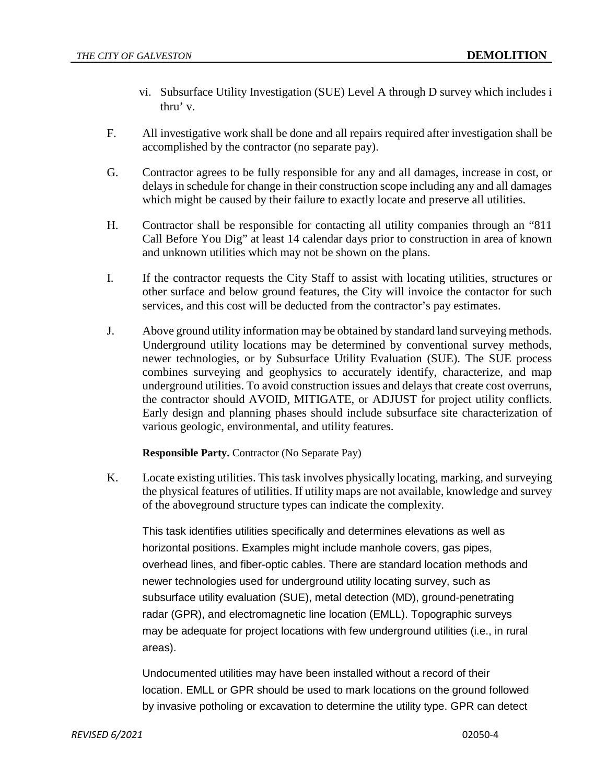- vi. Subsurface Utility Investigation (SUE) Level A through D survey which includes i thru' v.
- F. All investigative work shall be done and all repairs required after investigation shall be accomplished by the contractor (no separate pay).
- G. Contractor agrees to be fully responsible for any and all damages, increase in cost, or delays in schedule for change in their construction scope including any and all damages which might be caused by their failure to exactly locate and preserve all utilities.
- H. Contractor shall be responsible for contacting all utility companies through an "811 Call Before You Dig" at least 14 calendar days prior to construction in area of known and unknown utilities which may not be shown on the plans.
- I. If the contractor requests the City Staff to assist with locating utilities, structures or other surface and below ground features, the City will invoice the contactor for such services, and this cost will be deducted from the contractor's pay estimates.
- J. Above ground utility information may be obtained by standard land surveying methods. Underground utility locations may be determined by conventional survey methods, newer technologies, or by Subsurface Utility Evaluation (SUE). The SUE process combines surveying and geophysics to accurately identify, characterize, and map underground utilities. To avoid construction issues and delays that create cost overruns, the contractor should AVOID, MITIGATE, or ADJUST for project utility conflicts. Early design and planning phases should include subsurface site characterization of various geologic, environmental, and utility features.

**Responsible Party.** Contractor (No Separate Pay)

K. Locate existing utilities. This task involves physically locating, marking, and surveying the physical features of utilities. If utility maps are not available, knowledge and survey of the aboveground structure types can indicate the complexity.

This task identifies utilities specifically and determines elevations as well as horizontal positions. Examples might include manhole covers, gas pipes, overhead lines, and fiber-optic cables. There are standard location methods and newer technologies used for underground utility locating survey, such as subsurface utility evaluation (SUE), metal detection (MD), ground-penetrating radar (GPR), and electromagnetic line location (EMLL). Topographic surveys may be adequate for project locations with few underground utilities (i.e., in rural areas).

Undocumented utilities may have been installed without a record of their location. EMLL or GPR should be used to mark locations on the ground followed by invasive potholing or excavation to determine the utility type. GPR can detect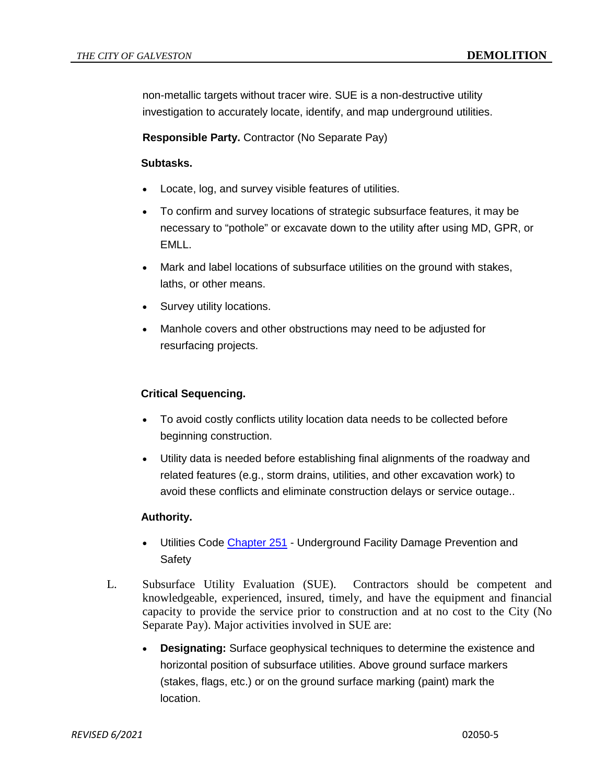non-metallic targets without tracer wire. SUE is a non-destructive utility investigation to accurately locate, identify, and map underground utilities.

**Responsible Party.** Contractor (No Separate Pay)

### **Subtasks.**

- Locate, log, and survey visible features of utilities.
- To confirm and survey locations of strategic subsurface features, it may be necessary to "pothole" or excavate down to the utility after using MD, GPR, or EMLL.
- Mark and label locations of subsurface utilities on the ground with stakes, laths, or other means.
- Survey utility locations.
- Manhole covers and other obstructions may need to be adjusted for resurfacing projects.

## **Critical Sequencing.**

- To avoid costly conflicts utility location data needs to be collected before beginning construction.
- Utility data is needed before establishing final alignments of the roadway and related features (e.g., storm drains, utilities, and other excavation work) to avoid these conflicts and eliminate construction delays or service outage..

## **Authority.**

- Utilities Code [Chapter 251](http://www.statutes.legis.state.tx.us/Docs/UT/htm/UT.251.htm) Underground Facility Damage Prevention and Safety
- L. Subsurface Utility Evaluation (SUE). Contractors should be competent and knowledgeable, experienced, insured, timely, and have the equipment and financial capacity to provide the service prior to construction and at no cost to the City (No Separate Pay). Major activities involved in SUE are:
	- **Designating:** Surface geophysical techniques to determine the existence and horizontal position of subsurface utilities. Above ground surface markers (stakes, flags, etc.) or on the ground surface marking (paint) mark the location.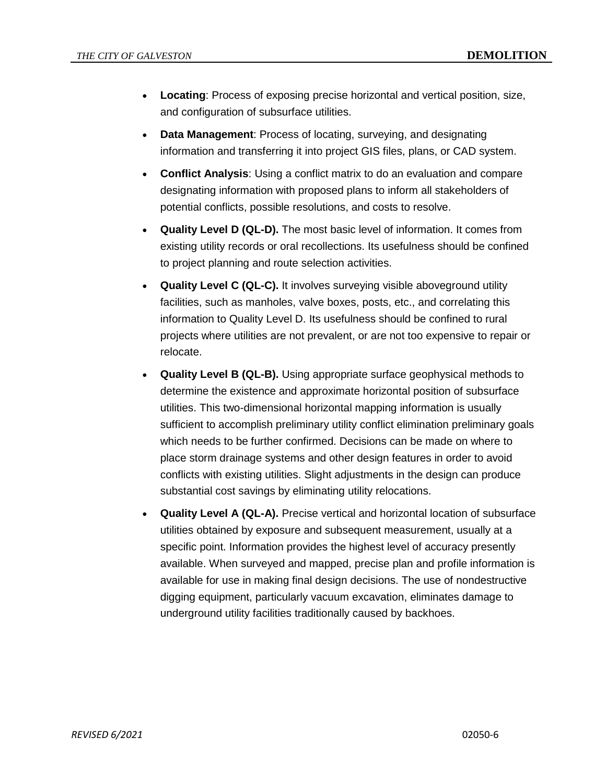- **Locating**: Process of exposing precise horizontal and vertical position, size, and configuration of subsurface utilities.
- **Data Management**: Process of locating, surveying, and designating information and transferring it into project GIS files, plans, or CAD system.
- **Conflict Analysis**: Using a conflict matrix to do an evaluation and compare designating information with proposed plans to inform all stakeholders of potential conflicts, possible resolutions, and costs to resolve.
- **Quality Level D (QL-D).** The most basic level of information. It comes from existing utility records or oral recollections. Its usefulness should be confined to project planning and route selection activities.
- **Quality Level C (QL-C).** It involves surveying visible aboveground utility facilities, such as manholes, valve boxes, posts, etc., and correlating this information to Quality Level D. Its usefulness should be confined to rural projects where utilities are not prevalent, or are not too expensive to repair or relocate.
- **Quality Level B (QL-B).** Using appropriate surface geophysical methods to determine the existence and approximate horizontal position of subsurface utilities. This two-dimensional horizontal mapping information is usually sufficient to accomplish preliminary utility conflict elimination preliminary goals which needs to be further confirmed. Decisions can be made on where to place storm drainage systems and other design features in order to avoid conflicts with existing utilities. Slight adjustments in the design can produce substantial cost savings by eliminating utility relocations.
- **Quality Level A (QL-A).** Precise vertical and horizontal location of subsurface utilities obtained by exposure and subsequent measurement, usually at a specific point. Information provides the highest level of accuracy presently available. When surveyed and mapped, precise plan and profile information is available for use in making final design decisions. The use of nondestructive digging equipment, particularly vacuum excavation, eliminates damage to underground utility facilities traditionally caused by backhoes.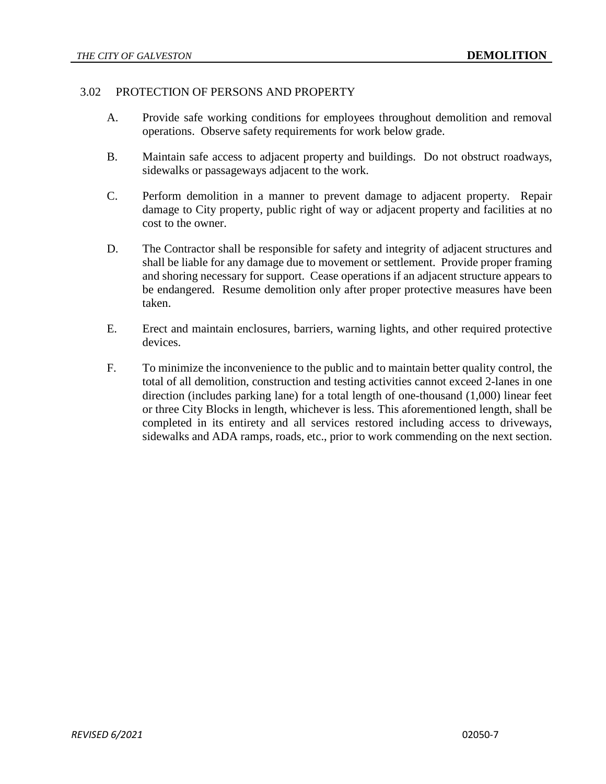#### 3.02 PROTECTION OF PERSONS AND PROPERTY

- A. Provide safe working conditions for employees throughout demolition and removal operations. Observe safety requirements for work below grade.
- B. Maintain safe access to adjacent property and buildings. Do not obstruct roadways, sidewalks or passageways adjacent to the work.
- C. Perform demolition in a manner to prevent damage to adjacent property. Repair damage to City property, public right of way or adjacent property and facilities at no cost to the owner.
- D. The Contractor shall be responsible for safety and integrity of adjacent structures and shall be liable for any damage due to movement or settlement. Provide proper framing and shoring necessary for support. Cease operations if an adjacent structure appears to be endangered. Resume demolition only after proper protective measures have been taken.
- E. Erect and maintain enclosures, barriers, warning lights, and other required protective devices.
- F. To minimize the inconvenience to the public and to maintain better quality control, the total of all demolition, construction and testing activities cannot exceed 2-lanes in one direction (includes parking lane) for a total length of one-thousand (1,000) linear feet or three City Blocks in length, whichever is less. This aforementioned length, shall be completed in its entirety and all services restored including access to driveways, sidewalks and ADA ramps, roads, etc., prior to work commending on the next section.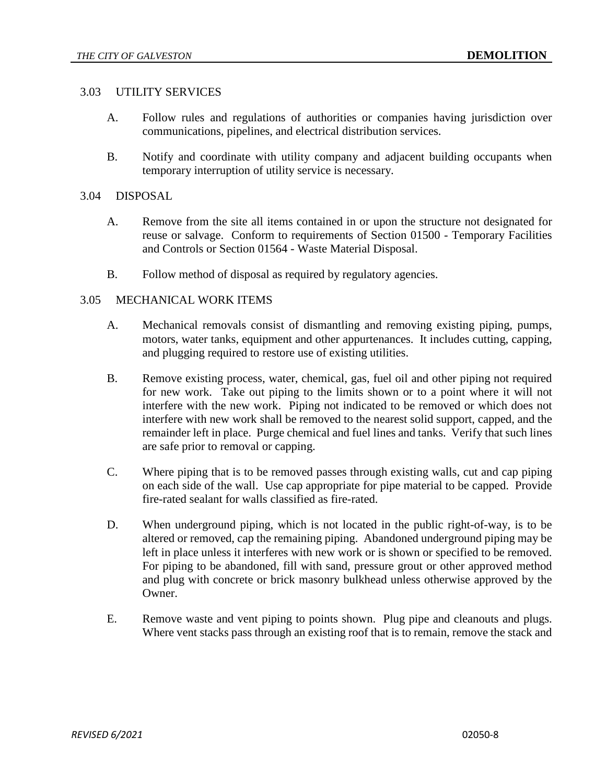#### 3.03 UTILITY SERVICES

- A. Follow rules and regulations of authorities or companies having jurisdiction over communications, pipelines, and electrical distribution services.
- B. Notify and coordinate with utility company and adjacent building occupants when temporary interruption of utility service is necessary.

### 3.04 DISPOSAL

- A. Remove from the site all items contained in or upon the structure not designated for reuse or salvage. Conform to requirements of Section 01500 - Temporary Facilities and Controls or Section 01564 - Waste Material Disposal.
- B. Follow method of disposal as required by regulatory agencies.

### 3.05 MECHANICAL WORK ITEMS

- A. Mechanical removals consist of dismantling and removing existing piping, pumps, motors, water tanks, equipment and other appurtenances. It includes cutting, capping, and plugging required to restore use of existing utilities.
- B. Remove existing process, water, chemical, gas, fuel oil and other piping not required for new work. Take out piping to the limits shown or to a point where it will not interfere with the new work. Piping not indicated to be removed or which does not interfere with new work shall be removed to the nearest solid support, capped, and the remainder left in place. Purge chemical and fuel lines and tanks. Verify that such lines are safe prior to removal or capping.
- C. Where piping that is to be removed passes through existing walls, cut and cap piping on each side of the wall. Use cap appropriate for pipe material to be capped. Provide fire-rated sealant for walls classified as fire-rated.
- D. When underground piping, which is not located in the public right-of-way, is to be altered or removed, cap the remaining piping. Abandoned underground piping may be left in place unless it interferes with new work or is shown or specified to be removed. For piping to be abandoned, fill with sand, pressure grout or other approved method and plug with concrete or brick masonry bulkhead unless otherwise approved by the Owner.
- E. Remove waste and vent piping to points shown. Plug pipe and cleanouts and plugs. Where vent stacks pass through an existing roof that is to remain, remove the stack and